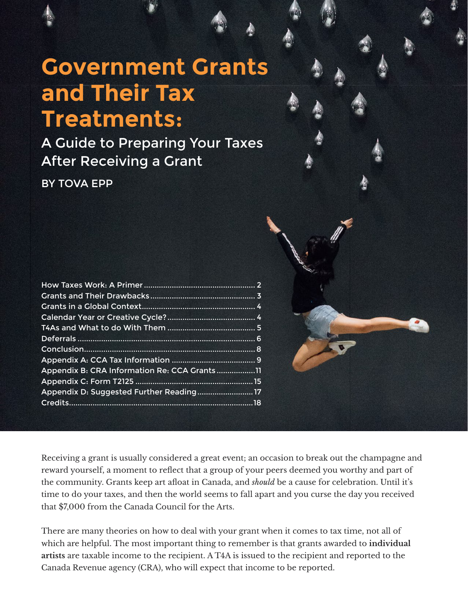# **Government Grants and Their Tax Treatments:**

A Guide to Preparing Your Taxes After Receiving a Grant

BY TOVA EPP

| Appendix B: CRA Information Re: CCA Grants11 |  |
|----------------------------------------------|--|
|                                              |  |
| Appendix D: Suggested Further Reading17      |  |
|                                              |  |
|                                              |  |

Receiving a grant is usually considered a great event; an occasion to break out the champagne and reward yourself, a moment to reflect that a group of your peers deemed you worthy and part of the community. Grants keep art afloat in Canada, and *should* be a cause for celebration. Until it's time to do your taxes, and then the world seems to fall apart and you curse the day you received that \$7,000 from the Canada Council for the Arts.

There are many theories on how to deal with your grant when it comes to tax time, not all of which are helpful. The most important thing to remember is that grants awarded to **individual artists** are taxable income to the recipient. A T4A is issued to the recipient and reported to the Canada Revenue agency (CRA), who will expect that income to be reported.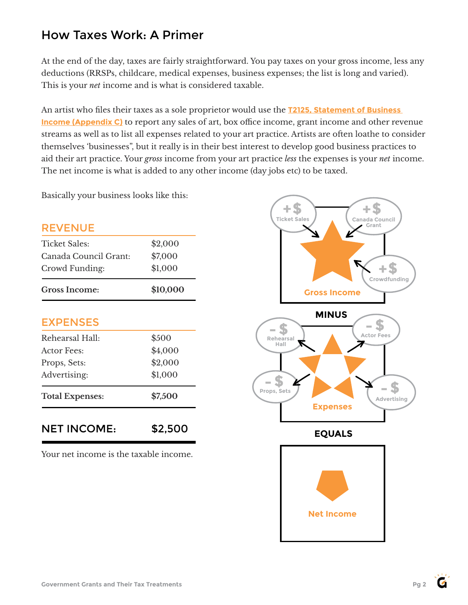# How Taxes Work: A Primer

At the end of the day, taxes are fairly straightforward. You pay taxes on your gross income, less any deductions (RRSPs, childcare, medical expenses, business expenses; the list is long and varied). This is your *net* income and is what is considered taxable.

An artist who files their taxes as a sole proprietor would use the **[T2125, Statement of Business](https://www.canada.ca/en/revenue-agency/services/forms-publications/forms/t2125.html)  [Income \(Appendix C\)](https://www.canada.ca/en/revenue-agency/services/forms-publications/forms/t2125.html)** to report any sales of art, box office income, grant income and other revenue streams as well as to list all expenses related to your art practice. Artists are often loathe to consider themselves 'businesses", but it really is in their best interest to develop good business practices to aid their art practice. Your *gross* income from your art practice *less* the expenses is your *net* income. The net income is what is added to any other income (day jobs etc) to be taxed.

Basically your business looks like this:

### REVENUE

| <b>Gross Income:</b>  | \$10,000 |
|-----------------------|----------|
| Crowd Funding:        | \$1,000  |
| Canada Council Grant: | \$7,000  |
| Ticket Sales:         | \$2,000  |

### EXPENSES

| <b>Total Expenses:</b> | \$7,500 |
|------------------------|---------|
|                        |         |
| Advertising:           | \$1,000 |
| Props, Sets:           | \$2,000 |
| Actor Fees:            | \$4,000 |
| Rehearsal Hall:        | \$500   |

NET INCOME: \$2,500

Your net income is the taxable income.

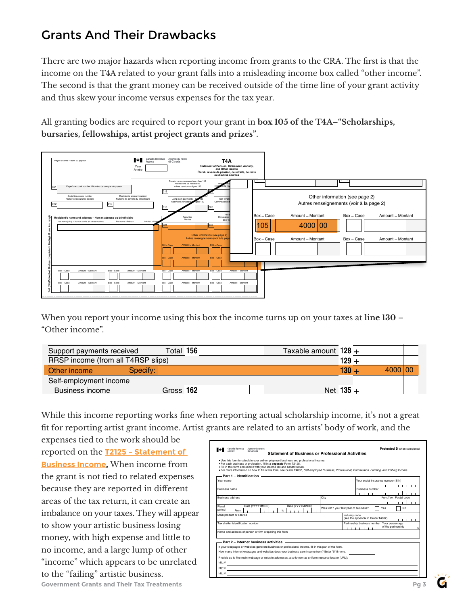# Grants And Their Drawbacks and the guide foreign property in the guide foreign property in the guide foreign p

There are two major hazards when reporting income from grants to the CRA. The first is that the income on the T4A related to your grant falls into a misleading income box called "other income". The second is that the grant money can be received outside of the time line of your grant activity and thus skew your income versus expenses for the tax year.

All granting bodies are required to report your grant in  $\bf{box 105}$  of the T4A–"Scholarships, **bursaries, fellowships, artist project grants and prizes".** is bourds are required to report your  $\beta$  $\blacksquare$ 



When you report your income using this box the income turns up on your taxes at  $\lim_{n\to\infty}$  130 – "Other income". 061 Payer's account number / Numéro de compte du payeur Rental income Gross **160** Net **126** + Payer's name – Nom du payeur hen you report your income using this box the income turns up on your taxes a

| Support payments received          |          | Total 156 | Taxable amount $128 +$                                                                            |             |         |  |
|------------------------------------|----------|-----------|---------------------------------------------------------------------------------------------------|-------------|---------|--|
| RRSP income (from all T4RSP slips) |          |           |                                                                                                   | $129 +$     |         |  |
| Other income                       | Specify: |           |                                                                                                   | $130 +$     | 4000 00 |  |
| Self-employment income             |          |           |                                                                                                   |             |         |  |
| <b>Business income</b>             |          | Gross 162 |                                                                                                   | Net $135 +$ |         |  |
|                                    |          |           |                                                                                                   |             |         |  |
|                                    |          |           | While this income reporting works fine when reporting actual scholarship income, it's not a great |             |         |  |

While this income reporting works fine when reporting actual scholarship income, it's not a great fit for reporting artist grant income. Artist grants are related to an artists' body of work, and the  $\overline{\phantom{a}}$ Facture income reporting works line when reporting actual senotation medicine or reporting artist grant income. Artist grants are related to an artists' body of work, and the

 $\alpha$  expenses tied to the work should be reported on the **T2125 - Statement of <b>IEL** Statement **Busin**ess **Income.** When income from the self-empth or be calculate your self-empth.<br>
Social assistance are proposed as a proposed as a proposed as a proposed as a proposed as proposed as a propo<br>
Fill in this form and se **EXECUTE:** WICH HICHIC HULL SUPPLEMENT SUPPLEMENT CONTROLL SUPPLEMENT CONTROLL SUPPLEMENT CONTROLL SUPPLEMENT CONTROLL SUPPLEMENT CONTROLL SUPPLEMENT CONTROLL SUPPLEMENT CONTROLL SUPPLEMENT CONTROLL SUPPLEMENT CONTROLL SUP because they are reported in different areas of the tax return, it can create an **Address address** imbalance on your taxes. They will appear money, with high expense and little to no income, and a large lump of other<br>"income" which appears to be unrelated To the main the main term of the main term of the main term of the protected BRSP income (from all T4RSP slips of the mome (from all T4RSP slips of the mome Business income C while this income eporting work for reporting a  $\mathcal{A}$  and  $\mathcal{A}$  is not the a to related expenses  $\begin{bmatrix} \mathcal{A} & \mathcal{A} & \mathcal{A} \\ \mathcal{A} & \mathcal{A} & \mathcal{A} \end{bmatrix}$ to the "failing" artistic business. Protégé B uhen completed and for the form of  $\bf p$  when  $\bf p$  unce  $\bf p$  and  $\bf p$ 

| expenses tied to the work should be               |                                                                                                                                                                                                                                                                                                                                                                                            |
|---------------------------------------------------|--------------------------------------------------------------------------------------------------------------------------------------------------------------------------------------------------------------------------------------------------------------------------------------------------------------------------------------------------------------------------------------------|
| reported on the 12125 - Statement of              | Protected B when completed<br>Canada Revenue<br>Apence du reveni<br><b>Statement of Business or Professional Activities</b>                                                                                                                                                                                                                                                                |
| <b>Business Income.</b> When income from          | . Use this form to calculate your self-employment business and professional income.<br>. For each business or profession, fill in a separate Form T2125.<br>. Fill in this form and send it with your income tax and benefit return<br>. For more information on how to fill in this form, see Guide T4002, Self-employed Business, Professional, Commission, Farming, and Fishing Income. |
| the grant is not tied to related expenses         | Part 1 - Identification<br>Your social insurance number (SIN)<br>Your name                                                                                                                                                                                                                                                                                                                 |
| because they are reported in different            | <b>Business number</b><br><b>Business name</b>                                                                                                                                                                                                                                                                                                                                             |
| areas of the tax return, it can create an         | Prov./Terr. Postal code<br><b>Business address</b><br>City<br>Date (YYYYMMDD)<br>Date (YYYYMMDD)<br>Fiscal                                                                                                                                                                                                                                                                                 |
| imbalance on your taxes. They will appear         | Was 2017 your last year of business?<br>No.<br>Yes<br>period<br>to<br>From<br>Main product or service<br>Industry code<br>(see the appendix in Guide T4002)                                                                                                                                                                                                                                |
| to show your artistic business losing             | <b>CONTRACTOR</b><br>Tax shelter identification number<br>Partnership business number Your percentage<br>of the partnership                                                                                                                                                                                                                                                                |
| money, with high expense and little to            | Name and address of person or firm preparing this form<br>Part 2 - Internet business activities                                                                                                                                                                                                                                                                                            |
| no income, and a large lump of other              | If your webpages or websites generate business or professional income, fill in this part of the form.<br>How many Internet webpages and websites does your business earn income from? Enter "0" if none.                                                                                                                                                                                   |
| "income" which appears to be unrelated            | Provide up to five main webpage or website addresses, also known as uniform resource locator (URL):<br>http://                                                                                                                                                                                                                                                                             |
| to the "failing" artistic business.               | http://<br>http://                                                                                                                                                                                                                                                                                                                                                                         |
| <b>Government Grants and Their Tax Treatments</b> | Pg <sub>3</sub>                                                                                                                                                                                                                                                                                                                                                                            |

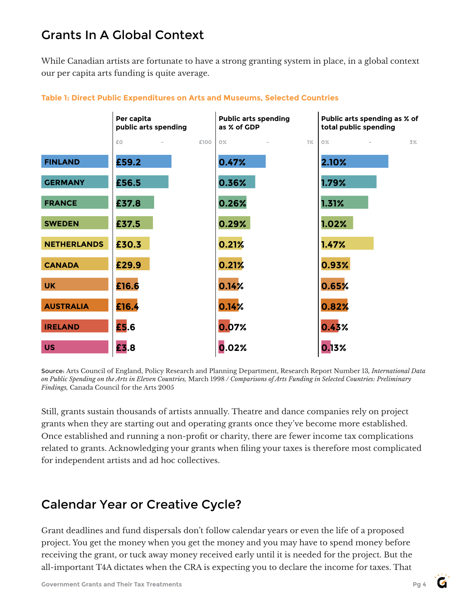# Grants In A Global Context

While Canadian artists are fortunate to have a strong granting system in place, in a global context our per capita arts funding is quite average.



### **Table 1: Direct Public Expenditures on Arts and Museums, Selected Countries**

Source: Arts Council of England, Policy Research and Planning Department, Research Report Number 13*, International Data on Public Spending on the Arts in Eleven Countries,* March 1998 */ Comparisons of Arts Funding in Selected Countries: Preliminary Findings,* Canada Council for the Arts 2005

Still, grants sustain thousands of artists annually. Theatre and dance companies rely on project grants when they are starting out and operating grants once they've become more established. Once established and running a non-profit or charity, there are fewer income tax complications related to grants. Acknowledging your grants when filing your taxes is therefore most complicated for independent artists and ad hoc collectives.

# Calendar Year or Creative Cycle?

Grant deadlines and fund dispersals don't follow calendar years or even the life of a proposed project. You get the money when you get the money and you may have to spend money before receiving the grant, or tuck away money received early until it is needed for the project. But the all-important T4A dictates when the CRA is expecting you to declare the income for taxes. That

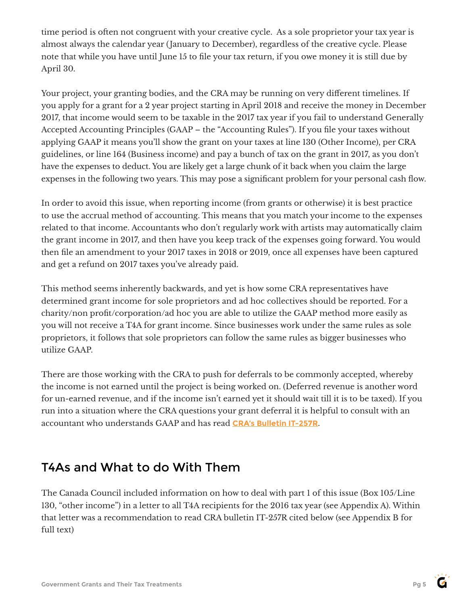time period is often not congruent with your creative cycle. As a sole proprietor your tax year is almost always the calendar year (January to December), regardless of the creative cycle. Please note that while you have until June 15 to file your tax return, if you owe money it is still due by April 30.

Your project, your granting bodies, and the CRA may be running on very different timelines. If you apply for a grant for a 2 year project starting in April 2018 and receive the money in December 2017, that income would seem to be taxable in the 2017 tax year if you fail to understand Generally Accepted Accounting Principles (GAAP – the "Accounting Rules"). If you file your taxes without applying GAAP it means you'll show the grant on your taxes at line 130 (Other Income), per CRA guidelines, or line 164 (Business income) and pay a bunch of tax on the grant in 2017, as you don't have the expenses to deduct. You are likely get a large chunk of it back when you claim the large expenses in the following two years. This may pose a significant problem for your personal cash flow.

In order to avoid this issue, when reporting income (from grants or otherwise) it is best practice to use the accrual method of accounting. This means that you match your income to the expenses related to that income. Accountants who don't regularly work with artists may automatically claim the grant income in 2017, and then have you keep track of the expenses going forward. You would then file an amendment to your 2017 taxes in 2018 or 2019, once all expenses have been captured and get a refund on 2017 taxes you've already paid.

This method seems inherently backwards, and yet is how some CRA representatives have determined grant income for sole proprietors and ad hoc collectives should be reported. For a charity/non profit/corporation/ad hoc you are able to utilize the GAAP method more easily as you will not receive a T4A for grant income. Since businesses work under the same rules as sole proprietors, it follows that sole proprietors can follow the same rules as bigger businesses who utilize GAAP.

There are those working with the CRA to push for deferrals to be commonly accepted, whereby the income is not earned until the project is being worked on. (Deferred revenue is another word for un-earned revenue, and if the income isn't earned yet it should wait till it is to be taxed). If you run into a situation where the CRA questions your grant deferral it is helpful to consult with an accountant who understands GAAP and has read **[CRA's Bulletin IT-257R](https://www.canada.ca/en/revenue-agency/services/forms-publications/publications/it257r/archived-canada-council-grants.html)**.

# T4As and What to do With Them

The Canada Council included information on how to deal with part 1 of this issue (Box 105/Line 130, "other income") in a letter to all T4A recipients for the 2016 tax year (see Appendix A). Within that letter was a recommendation to read CRA bulletin IT-257R cited below (see Appendix B for full text)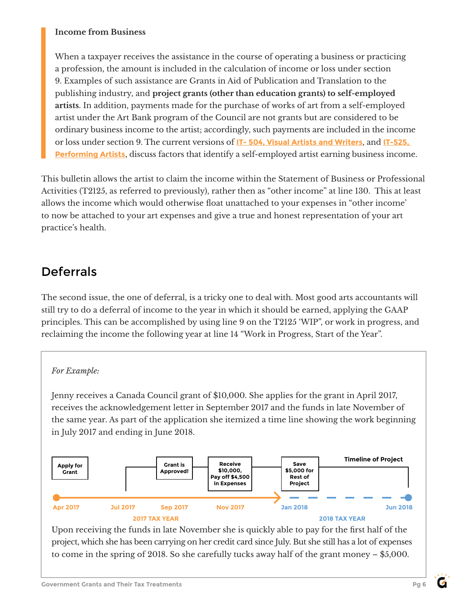### **Income from Business**

When a taxpayer receives the assistance in the course of operating a business or practicing a profession, the amount is included in the calculation of income or loss under section 9. Examples of such assistance are Grants in Aid of Publication and Translation to the publishing industry, and **project grants (other than education grants) to self-employed artists**. In addition, payments made for the purchase of works of art from a self-employed artist under the Art Bank program of the Council are not grants but are considered to be ordinary business income to the artist; accordingly, such payments are included in the income or loss under section 9. The current versions of **IT- [504, Visual Artists and Writers](https://www.canada.ca/en/revenue-agency/services/forms-publications/publications/it504r2-consolid.html)**, and **[IT-525,](https://www.canada.ca/en/revenue-agency/services/forms-publications/publications/it525r-consolid.html)  [Performing Artists](https://www.canada.ca/en/revenue-agency/services/forms-publications/publications/it525r-consolid.html)**, discuss factors that identify a self-employed artist earning business income.

This bulletin allows the artist to claim the income within the Statement of Business or Professional Activities (T2125, as referred to previously), rather then as "other income" at line 130. This at least allows the income which would otherwise float unattached to your expenses in "other income' to now be attached to your art expenses and give a true and honest representation of your art practice's health.

# Deferrals

The second issue, the one of deferral, is a tricky one to deal with. Most good arts accountants will still try to do a deferral of income to the year in which it should be earned, applying the GAAP principles. This can be accomplished by using line 9 on the T2125 'WIP", or work in progress, and reclaiming the income the following year at line 14 "Work in Progress, Start of the Year".

### *For Example:*

Jenny receives a Canada Council grant of \$10,000. She applies for the grant in April 2017, receives the acknowledgement letter in September 2017 and the funds in late November of the same year. As part of the application she itemized a time line showing the work beginning in July 2017 and ending in June 2018.



Upon receiving the funds in late November she is quickly able to pay for the first half of the project, which she has been carrying on her credit card since July. But she still has a lot of expenses to come in the spring of 2018. So she carefully tucks away half of the grant money – \$5,000.

 $\epsilon$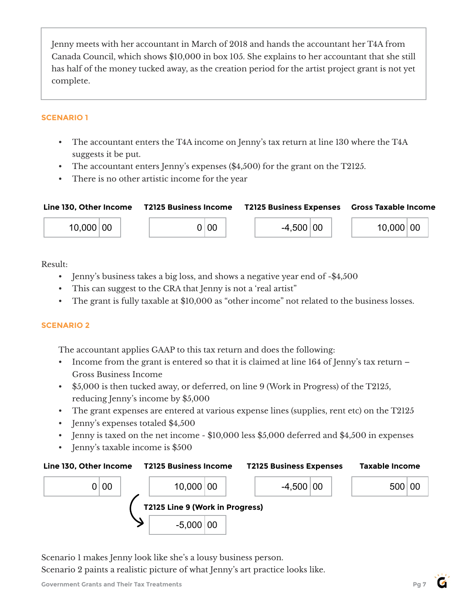Jenny meets with her accountant in March of 2018 and hands the accountant her T4A from Canada Council, which shows \$10,000 in box 105. She explains to her accountant that she still has half of the money tucked away, as the creation period for the artist project grant is not yet complete.

### **SCENARIO 1**

- The accountant enters the T4A income on Jenny's tax return at line 130 where the T4A suggests it be put.
- The accountant enters Jenny's expenses (\$4,500) for the grant on the T2125.
- There is no other artistic income for the year



Result:

- Jenny's business takes a big loss, and shows a negative year end of -\$4,500
- This can suggest to the CRA that Jenny is not a 'real artist"
- The grant is fully taxable at \$10,000 as "other income" not related to the business losses.

### **SCENARIO 2**

The accountant applies GAAP to this tax return and does the following:

- Income from the grant is entered so that it is claimed at line 164 of Jenny's tax return Gross Business Income
- \$5,000 is then tucked away, or deferred, on line 9 (Work in Progress) of the T2125, reducing Jenny's income by \$5,000
- The grant expenses are entered at various expense lines (supplies, rent etc) on the T2125
- Jenny's expenses totaled \$4,500
- Jenny is taxed on the net income \$10,000 less \$5,000 deferred and \$4,500 in expenses
- Jenny's taxable income is \$500



Scenario 1 makes Jenny look like she's a lousy business person.

Scenario 2 paints a realistic picture of what Jenny's art practice looks like.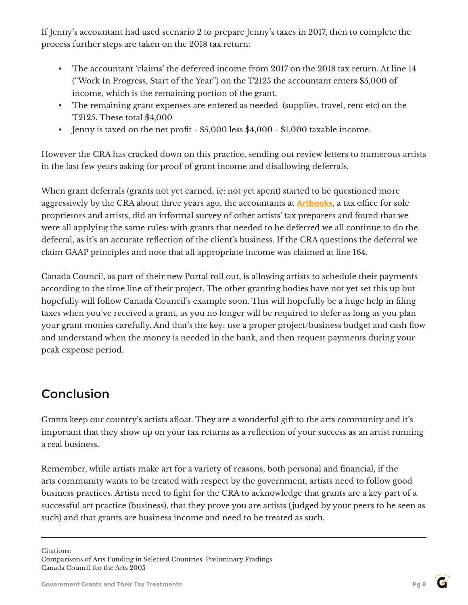If Jenny's accountant had used scenario 2 to prepare Jenny's taxes in 2017, then to complete the process further steps are taken on the 2018 tax return:

- The accountant 'claims' the deferred income from 2017 on the 2018 tax return. At line 14 ("Work In Progress, Start of the Year") on the T2125 the accountant enters \$5,000 of income, which is the remaining portion of the grant.
- The remaining grant expenses are entered as needed (supplies, travel, rent etc) on the T2125. These total \$4,000
- Jenny is taxed on the net profit \$5,000 less \$4,000 \$1,000 taxable income.

However the CRA has cracked down on this practice, sending out review letters to numerous artists in the last few years asking for proof of grant income and disallowing deferrals.

When grant deferrals (grants not yet earned, ie: not yet spent) started to be questioned more aggressively by the CRA about three years ago, the accountants at **[Artbooks](http://www.artbooks.to/)**, a tax office for sole proprietors and artists, did an informal survey of other artists' tax preparers and found that we were all applying the same rules: with grants that needed to be deferred we all continue to do the deferral, as it's an accurate reflection of the client's business. If the CRA questions the deferral we claim GAAP principles and note that all appropriate income was claimed at line 164.

Canada Council, as part of their new Portal roll out, is allowing artists to schedule their payments according to the time line of their project. The other granting bodies have not yet set this up but hopefully will follow Canada Council's example soon. This will hopefully be a huge help in filing taxes when you've received a grant, as you no longer will be required to defer as long as you plan your grant monies carefully. And that's the key: use a proper project/business budget and cash flow and understand when the money is needed in the bank, and then request payments during your peak expense period.

# Conclusion

Grants keep our country's artists afloat. They are a wonderful gift to the arts community and it's important that they show up on your tax returns as a reflection of your success as an artist running a real business.

Remember, while artists make art for a variety of reasons, both personal and financial, if the arts community wants to be treated with respect by the government, artists need to follow good business practices. Artists need to fight for the CRA to acknowledge that grants are a key part of a successful art practice (business), that they prove you are artists ( judged by your peers to be seen as such) and that grants are business income and need to be treated as such.

Citations:

Comparisons of Arts Funding in Selected Countries: Preliminary Findings Canada Council for the Arts 2005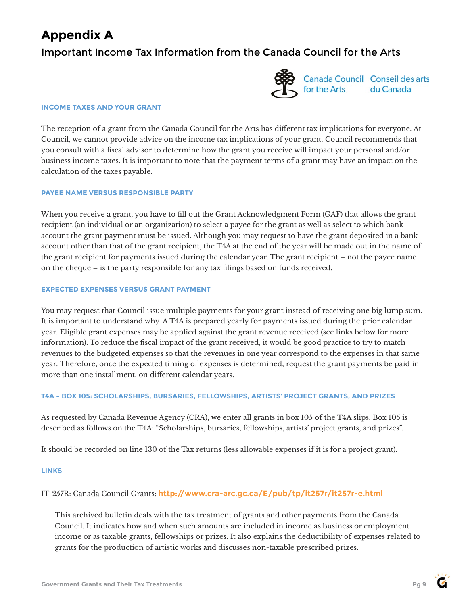# **Appendix A**

### Important Income Tax Information from the Canada Council for the Arts



Canada Council Conseil des arts for the Arts du Canada

#### **INCOME TAXES AND YOUR GRANT**

The reception of a grant from the Canada Council for the Arts has different tax implications for everyone. At Council, we cannot provide advice on the income tax implications of your grant. Council recommends that you consult with a fiscal advisor to determine how the grant you receive will impact your personal and/or business income taxes. It is important to note that the payment terms of a grant may have an impact on the calculation of the taxes payable.

#### **PAYEE NAME VERSUS RESPONSIBLE PARTY**

When you receive a grant, you have to fill out the Grant Acknowledgment Form (GAF) that allows the grant recipient (an individual or an organization) to select a payee for the grant as well as select to which bank account the grant payment must be issued. Although you may request to have the grant deposited in a bank account other than that of the grant recipient, the T4A at the end of the year will be made out in the name of the grant recipient for payments issued during the calendar year. The grant recipient – not the payee name on the cheque – is the party responsible for any tax filings based on funds received.

#### **EXPECTED EXPENSES VERSUS GRANT PAYMENT**

You may request that Council issue multiple payments for your grant instead of receiving one big lump sum. It is important to understand why. A T4A is prepared yearly for payments issued during the prior calendar year. Eligible grant expenses may be applied against the grant revenue received (see links below for more information). To reduce the fiscal impact of the grant received, it would be good practice to try to match revenues to the budgeted expenses so that the revenues in one year correspond to the expenses in that same year. Therefore, once the expected timing of expenses is determined, request the grant payments be paid in more than one installment, on different calendar years.

#### **T4A – BOX 105: SCHOLARSHIPS, BURSARIES, FELLOWSHIPS, ARTISTS' PROJECT GRANTS, AND PRIZES**

As requested by Canada Revenue Agency (CRA), we enter all grants in box 105 of the T4A slips. Box 105 is described as follows on the T4A: "Scholarships, bursaries, fellowships, artists' project grants, and prizes".

It should be recorded on line 130 of the Tax returns (less allowable expenses if it is for a project grant).

#### **LINKS**

### IT-257R: Canada Council Grants: **<http://www.cra-arc.gc.ca/E/pub/tp/it257r/it257r-e.html>**

This archived bulletin deals with the tax treatment of grants and other payments from the Canada Council. It indicates how and when such amounts are included in income as business or employment income or as taxable grants, fellowships or prizes. It also explains the deductibility of expenses related to grants for the production of artistic works and discusses non-taxable prescribed prizes.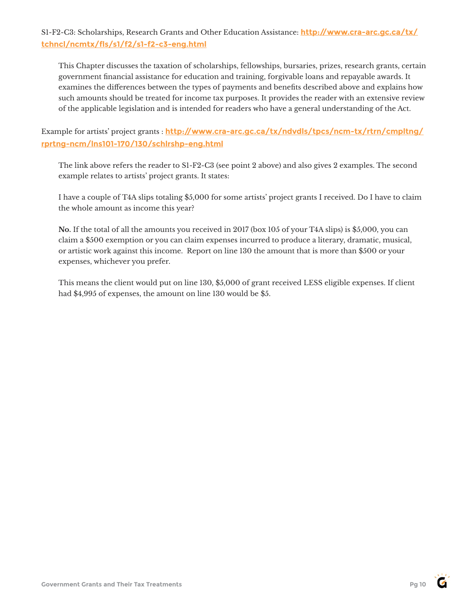### S1-F2-C3: Scholarships, Research Grants and Other Education Assistance: **[http://www.cra-arc.gc.ca/tx/](https://www.canada.ca/en/revenue-agency/services/tax/technical-information/income-tax/income-tax-folios-index/series-1-individuals/folio-2-students/income-tax-folio-s1-f2-c3-scholarships-research-grants-other-education-assistance.html) [tchncl/ncmtx/fls/s1/f2/s1-f2-c3-eng.html](https://www.canada.ca/en/revenue-agency/services/tax/technical-information/income-tax/income-tax-folios-index/series-1-individuals/folio-2-students/income-tax-folio-s1-f2-c3-scholarships-research-grants-other-education-assistance.html)**

This Chapter discusses the taxation of scholarships, fellowships, bursaries, prizes, research grants, certain government financial assistance for education and training, forgivable loans and repayable awards. It examines the differences between the types of payments and benefits described above and explains how such amounts should be treated for income tax purposes. It provides the reader with an extensive review of the applicable legislation and is intended for readers who have a general understanding of the Act.

Example for artists' project grants : **[http://www.cra-arc.gc.ca/tx/ndvdls/tpcs/ncm-tx/rtrn/cmpltng/](https://www.canada.ca/en/revenue-agency/services/tax/individuals/topics/about-your-tax-return/tax-return/completing-a-tax-return/personal-income/line-130-other-income/line-130-scholarships-fellowships-bursaries-study-grants-artists-project-grants-awards.html) [rprtng-ncm/lns101-170/130/schlrshp-eng.html](https://www.canada.ca/en/revenue-agency/services/tax/individuals/topics/about-your-tax-return/tax-return/completing-a-tax-return/personal-income/line-130-other-income/line-130-scholarships-fellowships-bursaries-study-grants-artists-project-grants-awards.html)**

The link above refers the reader to S1-F2-C3 (see point 2 above) and also gives 2 examples. The second example relates to artists' project grants. It states:

I have a couple of T4A slips totaling \$5,000 for some artists' project grants I received. Do I have to claim the whole amount as income this year?

**No.** If the total of all the amounts you received in 2017 (box 105 of your T4A slips) is \$5,000, you can claim a \$500 exemption or you can claim expenses incurred to produce a literary, dramatic, musical, or artistic work against this income. Report on line 130 the amount that is more than \$500 or your expenses, whichever you prefer.

This means the client would put on line 130, \$5,000 of grant received LESS eligible expenses. If client had \$4,995 of expenses, the amount on line 130 would be \$5.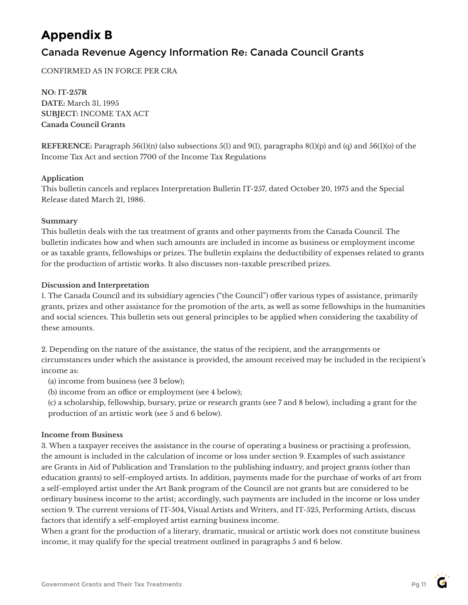# **Appendix B**

### Canada Revenue Agency Information Re: Canada Council Grants

CONFIRMED AS IN FORCE PER CRA

**NO: IT-257R DATE:** March 31, 1995 **SUBJECT:** INCOME TAX ACT **Canada Council Grants**

**REFERENCE:** Paragraph 56(1)(n) (also subsections 5(1) and 9(1), paragraphs 8(1)(p) and (q) and 56(1)(o) of the Income Tax Act and section 7700 of the Income Tax Regulations

### **Application**

This bulletin cancels and replaces Interpretation Bulletin IT-257, dated October 20, 1975 and the Special Release dated March 21, 1986.

#### **Summary**

This bulletin deals with the tax treatment of grants and other payments from the Canada Council. The bulletin indicates how and when such amounts are included in income as business or employment income or as taxable grants, fellowships or prizes. The bulletin explains the deductibility of expenses related to grants for the production of artistic works. It also discusses non-taxable prescribed prizes.

### **Discussion and Interpretation**

1. The Canada Council and its subsidiary agencies ("the Council") offer various types of assistance, primarily grants, prizes and other assistance for the promotion of the arts, as well as some fellowships in the humanities and social sciences. This bulletin sets out general principles to be applied when considering the taxability of these amounts.

2. Depending on the nature of the assistance, the status of the recipient, and the arrangements or circumstances under which the assistance is provided, the amount received may be included in the recipient's income as:

(a) income from business (see 3 below);

(b) income from an office or employment (see 4 below);

(c) a scholarship, fellowship, bursary, prize or research grants (see 7 and 8 below), including a grant for the production of an artistic work (see 5 and 6 below).

### **Income from Business**

3. When a taxpayer receives the assistance in the course of operating a business or practising a profession, the amount is included in the calculation of income or loss under section 9. Examples of such assistance are Grants in Aid of Publication and Translation to the publishing industry, and project grants (other than education grants) to self-employed artists. In addition, payments made for the purchase of works of art from a self-employed artist under the Art Bank program of the Council are not grants but are considered to be ordinary business income to the artist; accordingly, such payments are included in the income or loss under section 9. The current versions of IT-504, Visual Artists and Writers, and IT-525, Performing Artists, discuss factors that identify a self-employed artist earning business income.

When a grant for the production of a literary, dramatic, musical or artistic work does not constitute business income, it may qualify for the special treatment outlined in paragraphs 5 and 6 below.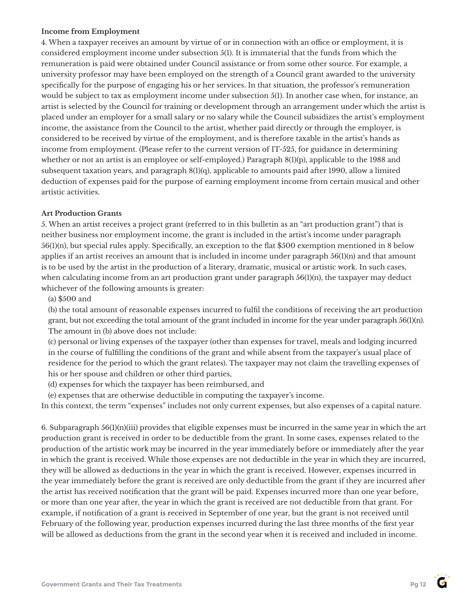### **Income from Employment**

4. When a taxpayer receives an amount by virtue of or in connection with an office or employment, it is considered employment income under subsection 5(1). It is immaterial that the funds from which the remuneration is paid were obtained under Council assistance or from some other source. For example, a university professor may have been employed on the strength of a Council grant awarded to the university specifically for the purpose of engaging his or her services. In that situation, the professor's remuneration would be subject to tax as employment income under subsection 5(1). In another case when, for instance, an artist is selected by the Council for training or development through an arrangement under which the artist is placed under an employer for a small salary or no salary while the Council subsidizes the artist's employment income, the assistance from the Council to the artist, whether paid directly or through the employer, is considered to be received by virtue of the employment, and is therefore taxable in the artist's hands as income from employment. (Please refer to the current version of IT-525, for guidance in determining whether or not an artist is an employee or self-employed.) Paragraph 8(1)(p), applicable to the 1988 and subsequent taxation years, and paragraph 8(1)(q), applicable to amounts paid after 1990, allow a limited deduction of expenses paid for the purpose of earning employment income from certain musical and other artistic activities.

### **Art Production Grants**

5. When an artist receives a project grant (referred to in this bulletin as an "art production grant") that is neither business nor employment income, the grant is included in the artist's income under paragraph 56(1)(n), but special rules apply. Specifically, an exception to the flat \$500 exemption mentioned in 8 below applies if an artist receives an amount that is included in income under paragraph  $56(1)(n)$  and that amount is to be used by the artist in the production of a literary, dramatic, musical or artistic work. In such cases, when calculating income from an art production grant under paragraph  $56(1)(n)$ , the taxpayer may deduct whichever of the following amounts is greater:

(a) \$500 and

(b) the total amount of reasonable expenses incurred to fulfil the conditions of receiving the art production grant, but not exceeding the total amount of the grant included in income for the year under paragraph 56(1)(n). The amount in (b) above does not include:

(c) personal or living expenses of the taxpayer (other than expenses for travel, meals and lodging incurred in the course of fulfilling the conditions of the grant and while absent from the taxpayer's usual place of residence for the period to which the grant relates). The taxpayer may not claim the travelling expenses of his or her spouse and children or other third parties,

(d) expenses for which the taxpayer has been reimbursed, and

(e) expenses that are otherwise deductible in computing the taxpayer's income.

In this context, the term "expenses" includes not only current expenses, but also expenses of a capital nature.

6. Subparagraph 56(1)(n)(iii) provides that eligible expenses must be incurred in the same year in which the art production grant is received in order to be deductible from the grant. In some cases, expenses related to the production of the artistic work may be incurred in the year immediately before or immediately after the year in which the grant is received. While those expenses are not deductible in the year in which they are incurred, they will be allowed as deductions in the year in which the grant is received. However, expenses incurred in the year immediately before the grant is received are only deductible from the grant if they are incurred after the artist has received notification that the grant will be paid. Expenses incurred more than one year before, or more than one year after, the year in which the grant is received are not deductible from that grant. For example, if notification of a grant is received in September of one year, but the grant is not received until February of the following year, production expenses incurred during the last three months of the first year will be allowed as deductions from the grant in the second year when it is received and included in income.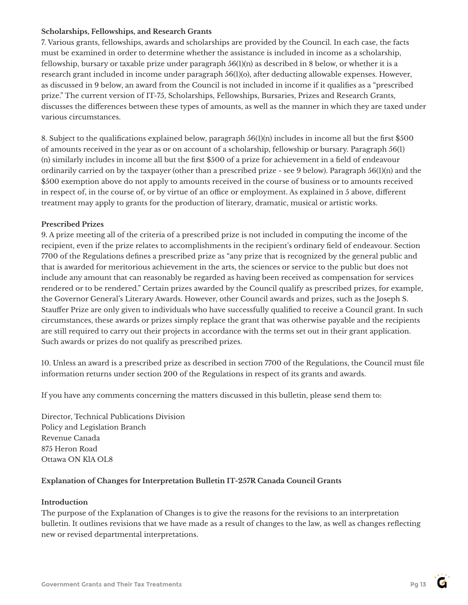### **Scholarships, Fellowships, and Research Grants**

7. Various grants, fellowships, awards and scholarships are provided by the Council. In each case, the facts must be examined in order to determine whether the assistance is included in income as a scholarship, fellowship, bursary or taxable prize under paragraph 56(1)(n) as described in 8 below, or whether it is a research grant included in income under paragraph 56(1)(o), after deducting allowable expenses. However, as discussed in 9 below, an award from the Council is not included in income if it qualifies as a "prescribed prize." The current version of IT-75, Scholarships, Fellowships, Bursaries, Prizes and Research Grants, discusses the differences between these types of amounts, as well as the manner in which they are taxed under various circumstances.

8. Subject to the qualifications explained below, paragraph 56(1)(n) includes in income all but the first \$500 of amounts received in the year as or on account of a scholarship, fellowship or bursary. Paragraph 56(1) (n) similarly includes in income all but the first \$500 of a prize for achievement in a field of endeavour ordinarily carried on by the taxpayer (other than a prescribed prize - see 9 below). Paragraph 56(1)(n) and the \$500 exemption above do not apply to amounts received in the course of business or to amounts received in respect of, in the course of, or by virtue of an office or employment. As explained in 5 above, different treatment may apply to grants for the production of literary, dramatic, musical or artistic works.

### **Prescribed Prizes**

9. A prize meeting all of the criteria of a prescribed prize is not included in computing the income of the recipient, even if the prize relates to accomplishments in the recipient's ordinary field of endeavour. Section 7700 of the Regulations defines a prescribed prize as "any prize that is recognized by the general public and that is awarded for meritorious achievement in the arts, the sciences or service to the public but does not include any amount that can reasonably be regarded as having been received as compensation for services rendered or to be rendered." Certain prizes awarded by the Council qualify as prescribed prizes, for example, the Governor General's Literary Awards. However, other Council awards and prizes, such as the Joseph S. Stauffer Prize are only given to individuals who have successfully qualified to receive a Council grant. In such circumstances, these awards or prizes simply replace the grant that was otherwise payable and the recipients are still required to carry out their projects in accordance with the terms set out in their grant application. Such awards or prizes do not qualify as prescribed prizes.

10. Unless an award is a prescribed prize as described in section 7700 of the Regulations, the Council must file information returns under section 200 of the Regulations in respect of its grants and awards.

If you have any comments concerning the matters discussed in this bulletin, please send them to:

Director, Technical Publications Division Policy and Legislation Branch Revenue Canada 875 Heron Road Ottawa ON KlA OL8

### **Explanation of Changes for Interpretation Bulletin IT-257R Canada Council Grants**

#### **Introduction**

The purpose of the Explanation of Changes is to give the reasons for the revisions to an interpretation bulletin. It outlines revisions that we have made as a result of changes to the law, as well as changes reflecting new or revised departmental interpretations.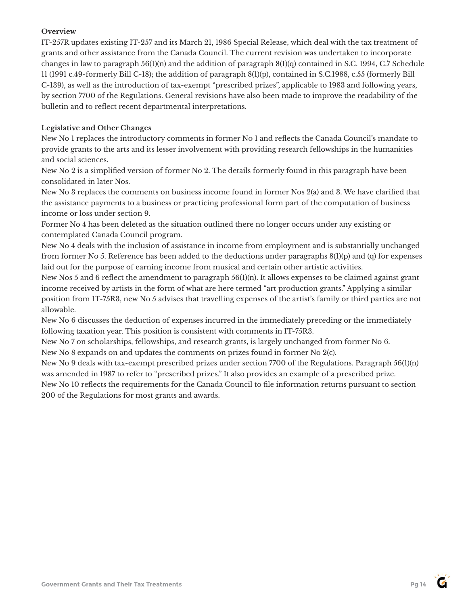### **Overview**

IT-257R updates existing IT-257 and its March 21, 1986 Special Release, which deal with the tax treatment of grants and other assistance from the Canada Council. The current revision was undertaken to incorporate changes in law to paragraph  $56(1)(n)$  and the addition of paragraph  $8(1)(q)$  contained in S.C. 1994, C.7 Schedule 11 (1991 c.49-formerly Bill C-18); the addition of paragraph 8(1)(p), contained in S.C.1988, c.55 (formerly Bill C-139), as well as the introduction of tax-exempt "prescribed prizes", applicable to 1983 and following years, by section 7700 of the Regulations. General revisions have also been made to improve the readability of the bulletin and to reflect recent departmental interpretations.

### **Legislative and Other Changes**

New No 1 replaces the introductory comments in former No 1 and reflects the Canada Council's mandate to provide grants to the arts and its lesser involvement with providing research fellowships in the humanities and social sciences.

New No 2 is a simplified version of former No 2. The details formerly found in this paragraph have been consolidated in later Nos.

New No 3 replaces the comments on business income found in former Nos 2(a) and 3. We have clarified that the assistance payments to a business or practicing professional form part of the computation of business income or loss under section 9.

Former No 4 has been deleted as the situation outlined there no longer occurs under any existing or contemplated Canada Council program.

New No 4 deals with the inclusion of assistance in income from employment and is substantially unchanged from former No 5. Reference has been added to the deductions under paragraphs 8(1)(p) and (q) for expenses laid out for the purpose of earning income from musical and certain other artistic activities.

New Nos 5 and 6 reflect the amendment to paragraph  $56(1)(n)$ . It allows expenses to be claimed against grant income received by artists in the form of what are here termed "art production grants." Applying a similar position from IT-75R3, new No 5 advises that travelling expenses of the artist's family or third parties are not allowable.

New No 6 discusses the deduction of expenses incurred in the immediately preceding or the immediately following taxation year. This position is consistent with comments in IT-75R3.

New No 7 on scholarships, fellowships, and research grants, is largely unchanged from former No 6. New No 8 expands on and updates the comments on prizes found in former No 2(c).

New No 9 deals with tax-exempt prescribed prizes under section 7700 of the Regulations. Paragraph 56(1)(n) was amended in 1987 to refer to "prescribed prizes." It also provides an example of a prescribed prize.

New No 10 reflects the requirements for the Canada Council to file information returns pursuant to section 200 of the Regulations for most grants and awards.

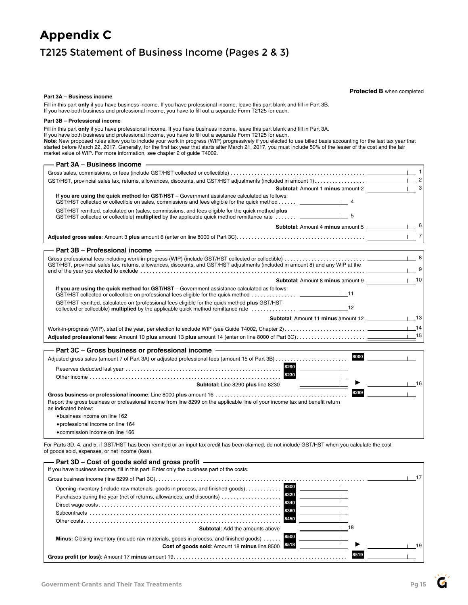## **Appendix C** T2125 Statement of Business Income (Pages 2 & 3)

#### **Part 3A – Business income**

#### **Protected B** when completed

Fill in this part **only** if you have business income. If you have professional income, leave this part blank and fill in Part 3B. If you have both business and professional income, you have to fill out a separate Form T2125 for each.

#### **Part 3B – Professional income**

**Part 3A** – **Business income**

Fill in this part **only** if you have professional income. If you have business income, leave this part blank and fill in Part 3A.

If you have both business and professional income, you have to fill out a separate Form T2125 for each.

**Note**: New proposed rules allow you to include your work in progress (WIP) progressively if you elected to use billed basis accounting for the last tax year that started before March 22, 2017. Generally, for the first tax year that starts after March 21, 2017, you must include 50% of the lesser of the cost and the fair market value of WIP. For more information, see chapter 2 of guide T4002.

| Part 3A – Business income                                                                                                                                                                                                         |                                              |
|-----------------------------------------------------------------------------------------------------------------------------------------------------------------------------------------------------------------------------------|----------------------------------------------|
|                                                                                                                                                                                                                                   |                                              |
|                                                                                                                                                                                                                                   |                                              |
|                                                                                                                                                                                                                                   |                                              |
| If you are using the quick method for GST/HST - Government assistance calculated as follows:<br>GST/HST collected or collectible on sales, commissions and fees eligible for the quick method                                     |                                              |
| GST/HST remitted, calculated on (sales, commissions, and fees eligible for the quick method plus<br>GST/HST collected or collectible) multiplied by the applicable quick method remittance rate                                   |                                              |
| <b>Subtotal:</b> Amount 4 minus amount 5                                                                                                                                                                                          |                                              |
|                                                                                                                                                                                                                                   | $\overline{7}$                               |
| Part 3B - Professional income - The Committee of the Committee of the Committee of the Committee of the Committee of the Committee of the Committee of the Committee of the Committee of the Committee of the Committee of the    |                                              |
| GST/HST, provincial sales tax, returns, allowances, discounts, and GST/HST adjustments (included in amount 8) and any WIP at the                                                                                                  |                                              |
|                                                                                                                                                                                                                                   |                                              |
| If you are using the quick method for GST/HST - Government assistance calculated as follows:                                                                                                                                      |                                              |
| GST/HST remitted, calculated on (professional fees eligible for the quick method plus GST/HST                                                                                                                                     |                                              |
| Subtotal: Amount 11 minus amount 12 _______________________13                                                                                                                                                                     |                                              |
|                                                                                                                                                                                                                                   |                                              |
|                                                                                                                                                                                                                                   | 15                                           |
| Part 3C – Gross business or professional income –                                                                                                                                                                                 | the control of the control of the control of |
|                                                                                                                                                                                                                                   | 8000                                         |
|                                                                                                                                                                                                                                   |                                              |
|                                                                                                                                                                                                                                   |                                              |
| Subtotal: Line 8290 plus line 8230                                                                                                                                                                                                | $1 \quad 16$                                 |
| 8299<br>Report the gross business or professional income from line 8299 on the applicable line of your income tax and benefit return<br>as indicated below:<br>. business income on line 162<br>• professional income on line 164 |                                              |
|                                                                                                                                                                                                                                   |                                              |

• commission income on line 166

For Parts 3D, 4, and 5, if GST/HST has been remitted or an input tax credit has been claimed, do not include GST/HST when you calculate the cost of goods sold, expenses, or net income (loss).

| — Part 3D – Cost of goods sold and gross profit                                                                                                                                                  |      |
|--------------------------------------------------------------------------------------------------------------------------------------------------------------------------------------------------|------|
| If you have business income, fill in this part. Enter only the business part of the costs.                                                                                                       |      |
|                                                                                                                                                                                                  | 17   |
| 8300<br>Opening inventory (include raw materials, goods in process, and finished goods)<br>8320<br>Purchases during the year (net of returns, allowances, and discounts)<br>8340<br>8360<br>8450 |      |
| <b>Subtotal:</b> Add the amounts above<br>8500                                                                                                                                                   | 18   |
| <b>Minus:</b> Closing inventory (include raw materials, goods in process, and finished goods)<br>8518<br>Cost of goods sold: Amount 18 minus line 8500                                           | 19   |
|                                                                                                                                                                                                  | 8519 |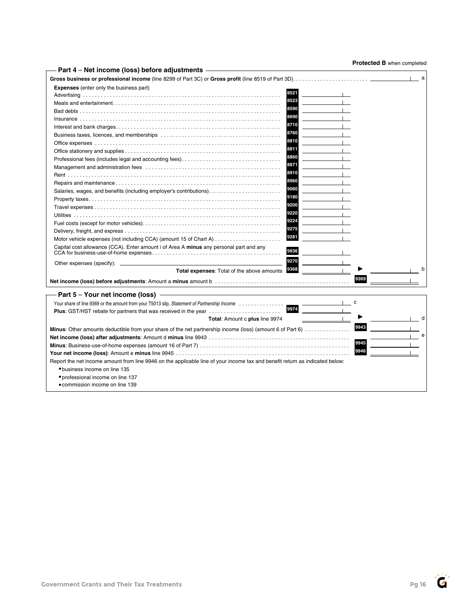**Protected B** when completed

| Part 4 - Net income (loss) before adjustments -                                                                              | <b>Lected D</b> write to completed |
|------------------------------------------------------------------------------------------------------------------------------|------------------------------------|
|                                                                                                                              | a                                  |
| <b>Expenses</b> (enter only the business part)                                                                               |                                    |
| 8521                                                                                                                         |                                    |
| 8523                                                                                                                         |                                    |
| 8590                                                                                                                         |                                    |
| 8690                                                                                                                         |                                    |
| 8710                                                                                                                         |                                    |
| 8760                                                                                                                         |                                    |
| 8810                                                                                                                         |                                    |
| 8811                                                                                                                         |                                    |
| 8860<br>Professional fees (includes legal and accounting fees)                                                               |                                    |
| 8871                                                                                                                         |                                    |
| 8910                                                                                                                         |                                    |
| 8960                                                                                                                         |                                    |
| 9060<br>Salaries, wages, and benefits (including employer's contributions)                                                   |                                    |
| 9180                                                                                                                         |                                    |
| 9200                                                                                                                         |                                    |
| 9220                                                                                                                         |                                    |
| 9224                                                                                                                         |                                    |
| 9275                                                                                                                         |                                    |
| 9281<br>Motor vehicle expenses (not including CCA) (amount 15 of Chart A)                                                    |                                    |
| Capital cost allowance (CCA). Enter amount i of Area A minus any personal part and any<br>9936                               |                                    |
|                                                                                                                              |                                    |
| 9270                                                                                                                         |                                    |
| Total expenses: Total of the above amounts 9368                                                                              | b                                  |
|                                                                                                                              | 9369                               |
| Part 5 - Your net income (loss) -                                                                                            |                                    |
| Your share of line 9369 or the amount from your T5013 slip, Statement of Partnership Income                                  | c                                  |
| 9974<br><b>Plus:</b> GST/HST rebate for partners that was received in the year                                               |                                    |
| Total: Amount c plus line 9974                                                                                               | d                                  |
| Minus: Other amounts deductible from your share of the net partnership income (loss) (amount 6 of Part 6)                    | 9943                               |
|                                                                                                                              | e                                  |
|                                                                                                                              | 9945                               |
|                                                                                                                              | 9946                               |
| Report the net income amount from line 9946 on the applicable line of your income tax and benefit return as indicated below: |                                    |
| • business income on line 135                                                                                                |                                    |
| • professional income on line 137                                                                                            |                                    |
| • commission income on line 139                                                                                              |                                    |
|                                                                                                                              |                                    |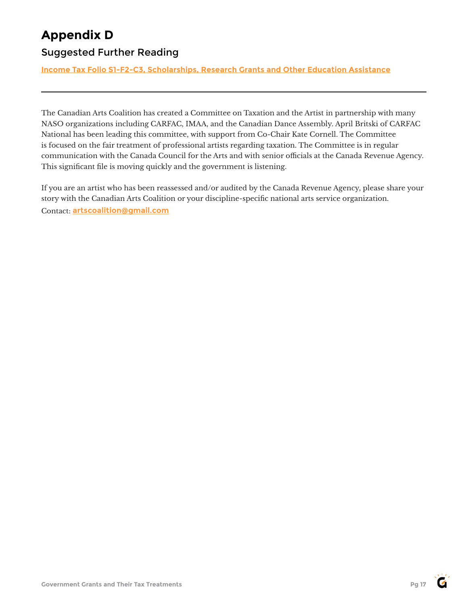# **Appendix D**

### Suggested Further Reading

**[Income Tax Folio S1-F2-C3](https://www.canada.ca/en/revenue-agency/services/tax/technical-information/income-tax/income-tax-folios-index/series-1-individuals/folio-2-students/income-tax-folio-s1-f2-c3-scholarships-research-grants-other-education-assistance.html), Scholarships, Research Grants and Other Education Assistance**

The Canadian Arts Coalition has created a Committee on Taxation and the Artist in partnership with many NASO organizations including CARFAC, IMAA, and the Canadian Dance Assembly. April Britski of CARFAC National has been leading this committee, with support from Co-Chair Kate Cornell. The Committee is focused on the fair treatment of professional artists regarding taxation. The Committee is in regular communication with the Canada Council for the Arts and with senior officials at the Canada Revenue Agency. This significant file is moving quickly and the government is listening.

If you are an artist who has been reassessed and/or audited by the Canada Revenue Agency, please share your story with the Canadian Arts Coalition or your discipline-specific national arts service organization. Contact: **[artscoalition@gmail.com](mailto:artscoalition%40gmail.com?subject=)**